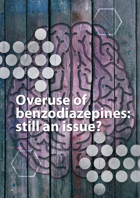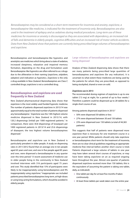*Benzodiazepines may be considered as a short-term treatment for insomnia and anxiety; zopiclone, a benzodiazepine-like medicine, is indicated for the treatment of insomnia only. Benzodiazepines are also used in the treatment of epilepsy and as sedatives during medical procedures. Long-term use of these medicines for insomnia or anxiety is discouraged as they are associated with dependency, an increased risk of falls and dementia in elderly people, cognitive difficulties and an increased risk of motor vehicle accidents. Data from New Zealand show that patients are currently being prescribed large volumes of benzodiazepines and zopiclone.* 

Benzodiazepines and benzodiazepine-like hypnotics and anxiolytics are medicines which bring about a state of sedation, increased sleepiness, relaxation and impaired memory formation, depending on the drug and formulation used. Benzodiazepine-like hypnotics are often referred to as z-drugs due to the alliteration in their naming (zopiclone, zolpidem, zaleplon) and indication as hypnotics. Zopiclone is the only z-drug available in New Zealand. Benzodiazepines are Class C controlled drugs; zopiclone is not a controlled drug.

# **Benzodiazepines and zopiclone are used frequently in New Zealand**

New Zealand pharmaceutical dispensing data shows that zopiclone is the most widely used funded hypnotic medicine. The number of patients dispensed zopiclone in 2013/14 was approximately equal to the total number of patients dispensed any benzodiazepine.<sup>1</sup> Zopiclone was the 14th highest volume medicine dispensed in New Zealand in 2013/14, with 120.2 dispensings (initial) per 1000 registered patients.<sup>1</sup> In comparison, there were 30.8 dispensings of lorazepam per 1000 registered patients in 2013/14 and 25.6 dispensings of diazepam; the two highest volume benzodiazepines dispensed.<sup>1</sup>

Benzodiazepine and zopiclone use in New Zealand is particularly prevalent in older people. A study on dispensing rates in 2011/2012 found that on average one in ten people aged 65 years and over, and one in five people aged 85 years and over, were dispensed a benzodiazepine in any quarter over this time period.<sup>2</sup> A recent assessment of medicine use in older people living in the community in New Zealand involved interviews with 316 participants aged 75 years and over. This study identified that 15% of participants were likely to be inappropriately using benzodiazepines and 9% inappropriately using zopiclone.<sup>3</sup> Inappropriate use included patients prescribed benzodiazepines long-term, at high-doses or using long-acting formulations, which should be avoided in elderly people.

# **Large volumes of benzodiazepines and zopiclone are being dispensed**

Analysis of New Zealand dispensing data shows that there are many patients being prescribed large quantities of benzodiazepines and zopiclone (for any indication). It is uncertain to what extent these medicines are being used by the patients for whom they are prescribed, as opposed to being stockpiled, shared or even on-sold.

### **Zopiclone use in 2013**

The recommended dosing regimen of zopiclone is up to one tablet (7.5 mg) at night, for a period of up to four weeks.<sup>4</sup> Therefore a patient could be dispensed up to 28 tablets for a single short course of use.

Among patients dispensed zopiclone in 2013:<sup>5</sup>

- 50% were dispensed 30 tablets or less
- 27% were dispensed between 30 and 150 tablets
- 23% were dispensed over 150 tablets (a total of 44,365 patients)

This suggests that half of patients were dispensed more zopiclone than is necessary for one treatment course in a one year period. While patients should only take zopiclone or benzodiazepines short-term for the treatment of insomnia, there are no clear clinical guidelines regarding an appropriate medicine-free interval before another short course is tried. Patients dispensed a large volume of tablets in one year may have taken several short courses of zopiclone, or may have been taking zopiclone on an as required ongoing basis throughout the year. Almost one-quarter of patients dispensed zopiclone received more than 150 tablets; this is the equivalent of (assuming the patient is taking one tablet, daily, as indicated):

- One tablet per day for at least five months if taken continuously
- At least three tablets per week taken over the entire year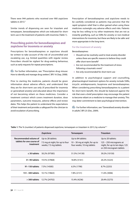There were 944 patients who received over 900 zopiclone tablets in 2013.<sup>5</sup>

Similar trends of dispensing are seen for triazolam and temazepam, benzodiazepines which are indicated for shortterm use in the treatment of patients with insomnia (Table 1).

# **Prescribing points for benzodiazepines and zopiclone for insomnia or anxiety**

Prescriptions for benzodiazepines or zopiclone should be written to take account of the risk of uncontrolled and escalating use, e.g. limited quantities with regular review. Prescribers should be vigilant for drug-seeking behaviour, such as early requests for repeat prescriptions.

 $\bigoplus$  For further information, see: "Prescription drug misuse: How to identify and manage drug seekers", BPJ 16 (Sep, 2008).

Prior to starting the medicine, patients should be given information about adverse effects, and understand that they are for short-term use only (if prescribed for insomnia or generalised anxiety) and educated about the importance of not becoming reliant on these medicines. Consider a treatment contract which covers treatment duration, dose parameters, outcome measures, adverse effects and review dates. This helps the patient to understand the expectations of their treatment and provides a safeguard for the clinician to avoid escalation of prescribing.

Prescription of benzodiazepines and zopiclone needs to be carefully considered as patients may perceive that the rapid symptom relief that is often gained when using these medicines outweighs any adverse effects and risks. Patients may be less willing to try other treatments that are not as instantly gratifying, such as SSRIs for anxiety or non-medical interventions for insomnia, but these are likely to be safer and more appropriate in the long-term.

#### **For the treatment of anxiety**

Benzodiazepines:

- Should not be routinely used to treat anxiety disorder unless there are specific reasons to believe they could offer short-term benefit6
- Are not recommended for the treatment of stress following a traumatic event<sup>7</sup>
- Are only recommended for short-term use

In addition to psychological support and counselling, pharmacological treatment options for anxiety include SSRIs, tricyclic antidepressants, buspirone and benzodiazepines. When considering prescribing benzodiazepines to a patient for short-term benefit, this should be balanced against the risk that even a brief prescription may encourage the patient to become reliant on a medicine to manage their anxiety. This may deter commitment to later psychological intervention.

 $\mathbb{G}$  For further information, see: "Generalised anxiety disorder in adults", BPJ 25 (Dec, 2009).

|                                                                 | Zopiclone                                                                     | Temazepam                                                                          | <b>Triazolam</b>                                                                                           |
|-----------------------------------------------------------------|-------------------------------------------------------------------------------|------------------------------------------------------------------------------------|------------------------------------------------------------------------------------------------------------|
| Recommended volume of<br>tablets for one course of<br>treatment | Up to 28 tablets:<br>7.5 mg at night, for up to four<br>weeks; 7.5 mg tablets | Up to 84 tablets:<br>$10 - 30$ mg at night, for up to<br>four weeks; 10 mg tablets | Up to 20 tablets:<br>125 – 250 micrograms at<br>night, for up to ten days; 125<br>or 250 microgram tablets |
| $\leq$ 30 tablets                                               | 50.2% (97585)                                                                 | 51.5% (14130)                                                                      | 39.2% (10150)                                                                                              |
| 31-90 tablets                                                   | 19.5% (37868)                                                                 | 18.8% (5161)                                                                       | 20.2% (5223)                                                                                               |
| 91-150 tablets                                                  | 7.5% (14585)                                                                  | 6.5% (1790)                                                                        | $8.7\%$ (2253)                                                                                             |
| 151–300 tablets                                                 | 10.1% (19663)                                                                 | 7.8% (2131)                                                                        | 11.6% (3006)                                                                                               |
| $>$ 300 tablets                                                 | 12.7% (24702)                                                                 | 15.4% (4236)                                                                       | 20.4% (5273)                                                                                               |

Table 1: The % (number) of patients dispensed zopiclone, temazepam or triazolam in 2013, by volume<sup>4, 5</sup>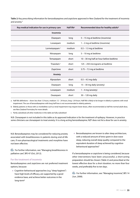**Table 2:** Key prescribing information for benzodiazepines and zopiclone approved in New Zealand for the treatment of insomnia and anxiety.4

| Key medical indication for use in primary care | Half life <sup>a</sup> | Recommended dose for healthy adults <sup>b</sup> |
|------------------------------------------------|------------------------|--------------------------------------------------|
| Insomnia                                       |                        |                                                  |
| Diazepam                                       | long                   | 5 - 15 mg at bedtime (insomnia)                  |
| Lorazepam                                      | medium                 | 1 – 2 mg at bedtime (insomnia)                   |
| Lormetazepam <sup>c</sup>                      | medium                 | $0.5 - 1.5$ mg at bedtime                        |
| Nitrazepam                                     | long                   | 5 - 10 mg at bedtime                             |
| Temazepam                                      | short                  | 10 - 30 mg half an hour before bedtime           |
| Triazolam <sup>c</sup>                         | short                  | 125 - 250 micrograms at bedtime                  |
| Zopiclone                                      | short                  | $3.75 - 7.5$ mg at bedtime                       |
| Anxiety                                        |                        |                                                  |
| Alprazolam                                     | short                  | $0.5 - 4.5$ mg daily                             |
| Diazepam                                       | long                   | 15 - 30 mg daily (anxiety)                       |
| Lorazepam                                      | medium                 | $1 - 4$ mg (anxiety)                             |
| Oxazepam                                       | short                  | 30 - 120 mg daily                                |

a Half-life definitions – short: less than 12 hours, medium: 12 – 24 hours, long: >24 hours. Half-life is likely to be longer in elderly or patients with renal impairment. The use of benzodiazepines with long half lives is not recommended in elderly patients.

b Elderly patients or those with co-morbidities such as renal impairment may require lower doses, often recommended as half the normal adult dose, see New Zealand Formulary for more details

c Partly subsidised; all other medicines in the table are fully subsidised

N.B. Clonazepam is not included in this table as its approved indication is for the treatment of epilepsy. However, in practice some clinicians use clonazepam to treat anxiety. It is a long-acting benzodiazepine; NZF does not list a dose for use in anxiety.

N.B. Benzodiazepines may be considered for reducing anxiety associated with breathlessness in patients during end-of-life care, if non-pharmacological treatments and morphine have not been effective.

 $\mathbb{G}$  For further information, see: "Managing breathlessness in palliative care", BPJ 47 (Oct, 2012).

### **For the treatment of insomnia**

Benzodiazepines and zopiclone are not preferred treatment options, because:

Cognitive-behavioural approaches (e.g. "sleep hygiene") have high levels of efficacy, are supported by a good evidence base, and achieve better outcomes in the long-term<sup>8</sup>

■ Benzodiazepines are known to alter sleep architecture, with a reduced amount of time spent in slow wave sleep, reducing overall sleep quality compared to the equivalent duration of sleep achieved by cognitivebehavioural approaches<sup>9</sup>

If a benzodiazepine or zopiclone is being considered, because other interventions have been unsuccessful, a short-acting preparation should be chosen (Table 2) and prescribed at the lowest effective dose for a short duration; no more than four weeks, and preferably five to ten days.

For further information, see: "Managing insomnia", BPJ 14 (Jun, 2008).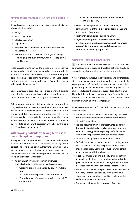# **Adverse effects of hypnotics can range from subtle to serious**

Benzodiazepines and zopiclone can cause a range of adverse effects, which include:<sup>10</sup>

- Vertigo
- Muscle weakness
- **Effects on cognition**
- Dependency
- Increased risk of dementia and possible increased risk of Alzheimer's disease<sup>11, 12</sup>
- Sleep automatism (in the case of z-drugs), including food binging, and even driving, while still asleep or in a sleep-like state

These adverse effects can lead to clinical outcomes, such as an increased risk of falls, and increased risk of motor vehicle accidents.10 There is some evidence that discontinuing the benzodiazepine or zopiclone reverses some of these effects, e.g. improvements in motor performance,<sup>13</sup> cognition,<sup>13</sup> and a reduction in dementia risk.<sup>11</sup>

Concomitant use of benzodiazepines or zopiclone with opioids or alcohol increases many risks, such as lack of judgement, sexual disinhibition, criminal activity and fatal overdose.

**Elderly patients** have reduced clearance of medicines from their body and are likely to need a lower dose of benzodiazepines or zopiclone to minimise adverse effects, such as half the normal adult dose. Benzodiazepines with a long half-life, e.g. diazepam and nitrazepam (Table 2), should be avoided due to an increased risk of falls with next-day drowsiness. Particular care needs to be taken with diazepam, which has both a long half-life and active metabolites.<sup>10</sup>

# **Withdrawing patients from long-term use of benzodiazepines or zopiclone**

Strategies to encourage patients to stop a benzodiazepine or zopiclone should involve attempting to realign their perceptions of risks and benefits. Interventions which can be used in primary care to help change the way people perceive these medicines, and have been reported to increase rates of stopping hypnotic use, include:14

- Patient education with information brochures or booklets about discontinuing benzodiazepines, e.g.:
	- "Stopping benzodiazepines and Z-drugs" available from:

**http://medical.cdn.patient.co.uk/pdf/4638.pdf**

■ "Benzodiazepines (tranquillisers and sleeping pills)", available from:

## **www.reconnexion.org.au/secure/downloadfile. asp?fileid=1015143**

- Regular follow-up letters to patients informing or reminding them of the risks of benzodiazepine use and the benefits of withdrawal
- Fortnightly consultations during withdrawal
- **Psychological support: counselling or referral to** psychological support services **substantially improves rates of discontinuation** over and above patient education or follow-up approaches

## **Withdrawal should be "slow but sure"**

Rapid withdrawal of benzodiazepines is associated with an increased risk of seizures, therefore patients should be counselled against stopping their medicine abruptly.

Acute withdrawal can result in physiological and psychological effects, and a dose reduction strategy that aims to gradually wean patients off benzodiazepines and zopiclone is best practice. A gradual taper has been shown to improve the rate of successful discontinuation and avoid effects of withdrawal.15 There is little evidence, however, of how frequently doses should be reduced, by how much, or the desired overall duration of weaning off these medicines.

Usual recommendations for benzodiazepine or zopiclone withdrawal are: 16

- Dose reductions every one to two weeks, e.g. 10-15% of the initial dose depending on current dose and tablet strength/formulation
- **Provide documentation of the treatment plan so that** both patient and clinician can keep track of the planned reduction strategy. This is especially useful for patients who may be experiencing cognitive adverse effects.
- **Monitor patient progress with frequent contact**
- Be flexible adjust reduction intervals according to how well a patient is tolerating the process. Some patients may manage a relatively quick reduction while others require a longer withdrawal process.
- If patients are experiencing difficulty, encourage them to remain on the lower dose they have achieved at that point, rather than increase the dose again. Recommence dose reduction when the patient feels able to resume.
- Patients should expect the possible occurrence of tremor, irritability, insomnia and anxiety during withdrawal stages, but these symptoms should alleviate once the withdrawal process is complete
- **For patients with ongoing symptoms of anxiety**